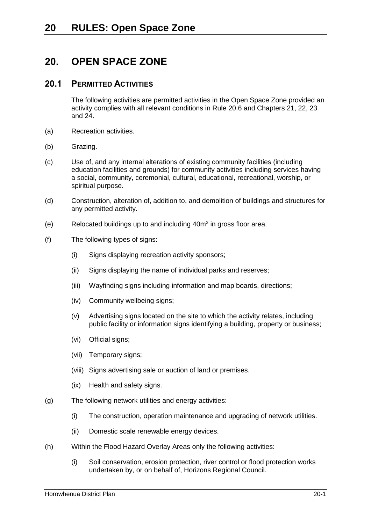# **20. OPEN SPACE ZONE**

# **20.1 PERMITTED ACTIVITIES**

The following activities are permitted activities in the Open Space Zone provided an activity complies with all relevant conditions in Rule [20.6](#page-5-0) and Chapters 21, 22, 23 and 24.

- (a) Recreation activities.
- (b) Grazing.
- (c) Use of, and any internal alterations of existing community facilities (including education facilities and grounds) for community activities including services having a social, community, ceremonial, cultural, educational, recreational, worship, or spiritual purpose.
- (d) Construction, alteration of, addition to, and demolition of buildings and structures for any permitted activity.
- (e) Relocated buildings up to and including  $40m^2$  in gross floor area.
- (f) The following types of signs:
	- (i) Signs displaying recreation activity sponsors;
	- (ii) Signs displaying the name of individual parks and reserves;
	- (iii) Wayfinding signs including information and map boards, directions;
	- (iv) Community wellbeing signs;
	- (v) Advertising signs located on the site to which the activity relates, including public facility or information signs identifying a building, property or business;
	- (vi) Official signs;
	- (vii) Temporary signs;
	- (viii) Signs advertising sale or auction of land or premises.
	- (ix) Health and safety signs.
- <span id="page-0-0"></span>(g) The following network utilities and energy activities:
	- (i) The construction, operation maintenance and upgrading of network utilities.
	- (ii) Domestic scale renewable energy devices.
- (h) Within the Flood Hazard Overlay Areas only the following activities:
	- (i) Soil conservation, erosion protection, river control or flood protection works undertaken by, or on behalf of, Horizons Regional Council.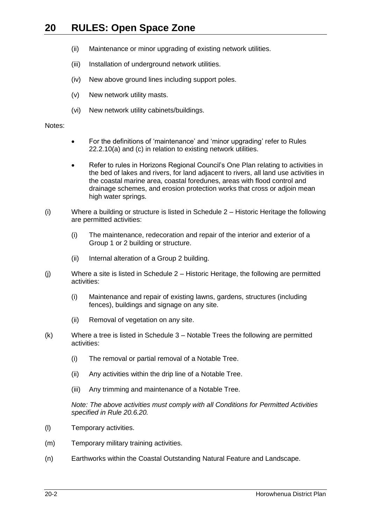- (ii) Maintenance or minor upgrading of existing network utilities.
- (iii) Installation of underground network utilities.
- (iv) New above ground lines including support poles.
- (v) New network utility masts.
- (vi) New network utility cabinets/buildings.

#### Notes:

- For the definitions of 'maintenance' and 'minor upgrading' refer to Rules 22.2.10(a) and (c) in relation to existing network utilities.
- Refer to rules in Horizons Regional Council's One Plan relating to activities in the bed of lakes and rivers, for land adjacent to rivers, all land use activities in the coastal marine area, coastal foredunes, areas with flood control and drainage schemes, and erosion protection works that cross or adjoin mean high water springs.
- (i) Where a building or structure is listed in Schedule 2 Historic Heritage the following are permitted activities:
	- (i) The maintenance, redecoration and repair of the interior and exterior of a Group 1 or 2 building or structure.
	- (ii) Internal alteration of a Group 2 building.
- (j) Where a site is listed in Schedule 2 Historic Heritage, the following are permitted activities:
	- (i) Maintenance and repair of existing lawns, gardens, structures (including fences), buildings and signage on any site.
	- (ii) Removal of vegetation on any site.
- (k) Where a tree is listed in Schedule 3 Notable Trees the following are permitted activities:
	- (i) The removal or partial removal of a Notable Tree.
	- (ii) Any activities within the drip line of a Notable Tree.
	- (iii) Any trimming and maintenance of a Notable Tree.

*Note: The above activities must comply with all Conditions for Permitted Activities specified in Rule [20.6.20.](#page-12-0)*

- (l) Temporary activities.
- (m) Temporary military training activities.
- (n) Earthworks within the Coastal Outstanding Natural Feature and Landscape.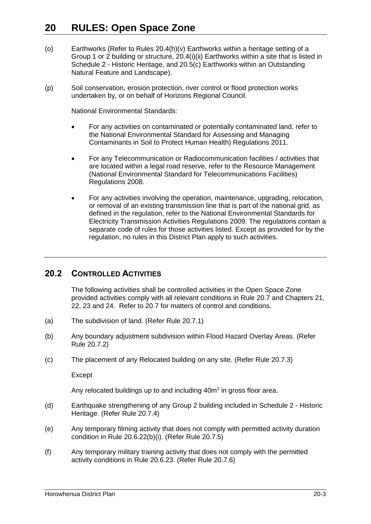- (o) Earthworks (Refer to Rules [20.4\(h\)\(v\)](#page-5-1) Earthworks within a heritage setting of a Group 1 or 2 building or structure, [20.4\(i\)\(ii\)](#page-5-2) Earthworks within a site that is listed in Schedule 2 - Historic Heritage, and [20.5\(c\)](#page-5-3) Earthworks within an Outstanding Natural Feature and Landscape).
- (p) Soil conservation, erosion protection, river control or flood protection works undertaken by, or on behalf of Horizons Regional Council.

National Environmental Standards:

- For any activities on contaminated or potentially contaminated land, refer to the National Environmental Standard for Assessing and Managing Contaminants in Soil to Protect Human Health) Regulations 2011.
- For any Telecommunication or Radiocommunication facilities / activities that are located within a legal road reserve, refer to the Resource Management (National Environmental Standard for Telecommunications Facilities) Regulations 2008.
- For any activities involving the operation, maintenance, upgrading, relocation, or removal of an existing transmission line that is part of the national grid, as defined in the regulation, refer to the National Environmental Standards for Electricity Transmission Activities Regulations 2009. The regulations contain a separate code of rules for those activities listed. Except as provided for by the regulation, no rules in this District Plan apply to such activities.

# **20.2 CONTROLLED ACTIVITIES**

The following activities shall be controlled activities in the Open Space Zone provided activities comply with all relevant conditions in Rule [20.7](#page-15-0) and Chapters 21, 22, 23 and 24. Refer to [20.7](#page-15-0) for matters of control and conditions.

- <span id="page-2-0"></span>(a) The subdivision of land. (Refer Rule [20.7.1\)](#page-16-0)
- <span id="page-2-1"></span>(b) Any boundary adjustment subdivision within Flood Hazard Overlay Areas. (Refer Rule [20.7.2\)](#page-17-0)
- <span id="page-2-2"></span>(c) The placement of any Relocated building on any site. (Refer Rule [20.7.3\)](#page-17-1)

Except

Any relocated buildings up to and including  $40m^2$  in gross floor area.

- <span id="page-2-3"></span>(d) Earthquake strengthening of any Group 2 building included in Schedule 2 - Historic Heritage. (Refer Rule [20.7.4\)](#page-18-0)
- <span id="page-2-4"></span>(e) Any temporary filming activity that does not comply with permitted activity duration condition in Rule [20.6.22\(b\)\(i\).](#page-13-0) (Refer Rule [20.7.5\)](#page-18-1)
- <span id="page-2-5"></span>(f) Any temporary military training activity that does not comply with the permitted activity conditions in Rule [20.6.23.](#page-14-0) (Refer Rule [20.7.6\)](#page-18-2)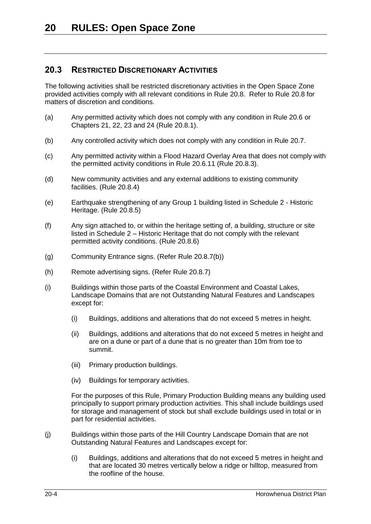# **20.3 RESTRICTED DISCRETIONARY ACTIVITIES**

The following activities shall be restricted discretionary activities in the Open Space Zone provided activities comply with all relevant conditions in Rule [20.8.](#page-19-0) Refer to Rule [20.8](#page-19-0) for matters of discretion and conditions.

- <span id="page-3-0"></span>(a) Any permitted activity which does not comply with any condition in Rule 20.6 or Chapters 21, 22, 23 and 24 (Rule [20.8.1\)](#page-19-1).
- <span id="page-3-1"></span>(b) Any controlled activity which does not comply with any condition in Rule [20.7.](#page-15-0)
- <span id="page-3-2"></span>(c) Any permitted activity within a Flood Hazard Overlay Area that does not comply with the permitted activity conditions in Rule [20.6.11](#page-8-0) (Rule [20.8.3\)](#page-19-2).
- <span id="page-3-3"></span>(d) New community activities and any external additions to existing community facilities. (Rule [20.8.4\)](#page-20-0)
- <span id="page-3-4"></span>(e) Earthquake strengthening of any Group 1 building listed in Schedule 2 - Historic Heritage. (Rule [20.8.5\)](#page-20-1)
- <span id="page-3-5"></span>(f) Any sign attached to, or within the heritage setting of, a building, structure or site listed in Schedule 2 – Historic Heritage that do not comply with the relevant permitted activity conditions. (Rule [20.8.6\)](#page-20-2)
- <span id="page-3-6"></span>(g) Community Entrance signs. (Refer Rule [20.8.7\(b\)\)](#page-21-0)
- <span id="page-3-7"></span>(h) Remote advertising signs. (Refer Rule [20.8.7\)](#page-20-3)
- (i) Buildings within those parts of the Coastal Environment and Coastal Lakes, Landscape Domains that are not Outstanding Natural Features and Landscapes except for:
	- (i) Buildings, additions and alterations that do not exceed 5 metres in height.
	- (ii) Buildings, additions and alterations that do not exceed 5 metres in height and are on a dune or part of a dune that is no greater than 10m from toe to summit.
	- (iii) Primary production buildings.
	- (iv) Buildings for temporary activities.

For the purposes of this Rule, Primary Production Building means any building used principally to support primary production activities. This shall include buildings used for storage and management of stock but shall exclude buildings used in total or in part for residential activities.

- (j) Buildings within those parts of the Hill Country Landscape Domain that are not Outstanding Natural Features and Landscapes except for:
	- (i) Buildings, additions and alterations that do not exceed 5 metres in height and that are located 30 metres vertically below a ridge or hilltop, measured from the roofline of the house.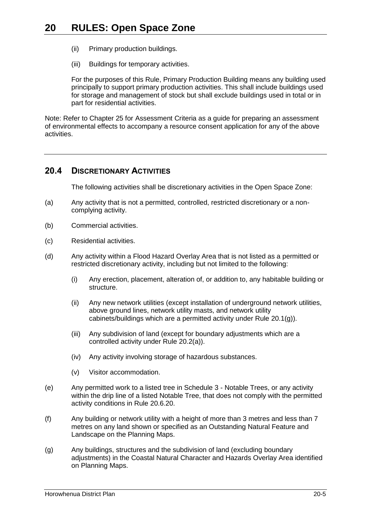- (ii) Primary production buildings.
- (iii) Buildings for temporary activities.

For the purposes of this Rule, Primary Production Building means any building used principally to support primary production activities. This shall include buildings used for storage and management of stock but shall exclude buildings used in total or in part for residential activities.

Note: Refer to Chapter 25 for Assessment Criteria as a guide for preparing an assessment of environmental effects to accompany a resource consent application for any of the above activities.

# **20.4 DISCRETIONARY ACTIVITIES**

The following activities shall be discretionary activities in the Open Space Zone:

- (a) Any activity that is not a permitted, controlled, restricted discretionary or a noncomplying activity.
- (b) Commercial activities.
- (c) Residential activities.
- (d) Any activity within a Flood Hazard Overlay Area that is not listed as a permitted or restricted discretionary activity, including but not limited to the following:
	- (i) Any erection, placement, alteration of, or addition to, any habitable building or structure.
	- (ii) Any new network utilities (except installation of underground network utilities, above ground lines, network utility masts, and network utility cabinets/buildings which are a permitted activity under Rule [20.1\(g\)\)](#page-0-0).
	- (iii) Any subdivision of land (except for boundary adjustments which are a controlled activity under Rule [20.2\(a\)\)](#page-2-0).
	- (iv) Any activity involving storage of hazardous substances.
	- (v) Visitor accommodation.
- (e) Any permitted work to a listed tree in Schedule 3 Notable Trees, or any activity within the drip line of a listed Notable Tree, that does not comply with the permitted activity conditions in Rule [20.6.20.](#page-12-0)
- (f) Any building or network utility with a height of more than 3 metres and less than 7 metres on any land shown or specified as an Outstanding Natural Feature and Landscape on the Planning Maps.
- (g) Any buildings, structures and the subdivision of land (excluding boundary adjustments) in the Coastal Natural Character and Hazards Overlay Area identified on Planning Maps.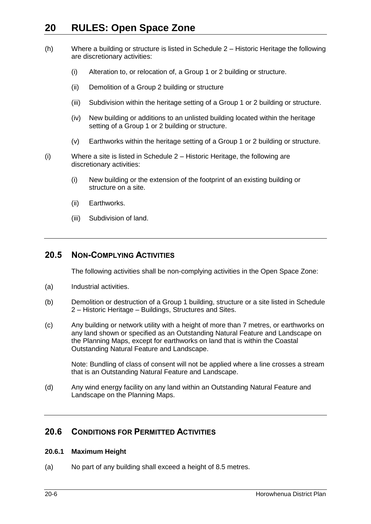- (h) Where a building or structure is listed in Schedule 2 Historic Heritage the following are discretionary activities:
	- (i) Alteration to, or relocation of, a Group 1 or 2 building or structure.
	- (ii) Demolition of a Group 2 building or structure
	- (iii) Subdivision within the heritage setting of a Group 1 or 2 building or structure.
	- (iv) New building or additions to an unlisted building located within the heritage setting of a Group 1 or 2 building or structure.
	- (v) Earthworks within the heritage setting of a Group 1 or 2 building or structure.
- <span id="page-5-2"></span><span id="page-5-1"></span>(i) Where a site is listed in Schedule 2 – Historic Heritage, the following are discretionary activities:
	- (i) New building or the extension of the footprint of an existing building or structure on a site.
	- (ii) Earthworks.
	- (iii) Subdivision of land.

# **20.5 NON-COMPLYING ACTIVITIES**

The following activities shall be non-complying activities in the Open Space Zone:

- (a) Industrial activities.
- (b) Demolition or destruction of a Group 1 building, structure or a site listed in Schedule 2 – Historic Heritage – Buildings, Structures and Sites.
- <span id="page-5-3"></span>(c) Any building or network utility with a height of more than 7 metres, or earthworks on any land shown or specified as an Outstanding Natural Feature and Landscape on the Planning Maps, except for earthworks on land that is within the Coastal Outstanding Natural Feature and Landscape.

Note: Bundling of class of consent will not be applied where a line crosses a stream that is an Outstanding Natural Feature and Landscape.

(d) Any wind energy facility on any land within an Outstanding Natural Feature and Landscape on the Planning Maps.

# <span id="page-5-0"></span>**20.6 CONDITIONS FOR PERMITTED ACTIVITIES**

## <span id="page-5-4"></span>**20.6.1 Maximum Height**

(a) No part of any building shall exceed a height of 8.5 metres.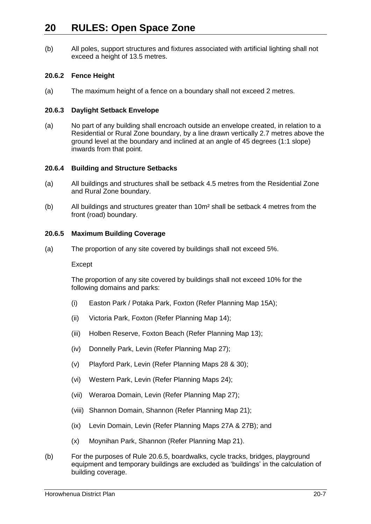(b) All poles, support structures and fixtures associated with artificial lighting shall not exceed a height of 13.5 metres.

# **20.6.2 Fence Height**

(a) The maximum height of a fence on a boundary shall not exceed 2 metres.

#### **20.6.3 Daylight Setback Envelope**

(a) No part of any building shall encroach outside an envelope created, in relation to a Residential or Rural Zone boundary, by a line drawn vertically 2.7 metres above the ground level at the boundary and inclined at an angle of 45 degrees (1:1 slope) inwards from that point.

#### **20.6.4 Building and Structure Setbacks**

- (a) All buildings and structures shall be setback 4.5 metres from the Residential Zone and Rural Zone boundary.
- (b) All buildings and structures greater than 10m² shall be setback 4 metres from the front (road) boundary.

#### <span id="page-6-0"></span>**20.6.5 Maximum Building Coverage**

(a) The proportion of any site covered by buildings shall not exceed 5%.

Except

The proportion of any site covered by buildings shall not exceed 10% for the following domains and parks:

- (i) Easton Park / Potaka Park, Foxton (Refer Planning Map 15A);
- (ii) Victoria Park, Foxton (Refer Planning Map 14);
- (iii) Holben Reserve, Foxton Beach (Refer Planning Map 13);
- (iv) Donnelly Park, Levin (Refer Planning Map 27);
- (v) Playford Park, Levin (Refer Planning Maps 28 & 30);
- (vi) Western Park, Levin (Refer Planning Maps 24);
- (vii) Weraroa Domain, Levin (Refer Planning Map 27);
- (viii) Shannon Domain, Shannon (Refer Planning Map 21);
- (ix) Levin Domain, Levin (Refer Planning Maps 27A & 27B); and
- (x) Moynihan Park, Shannon (Refer Planning Map 21).
- (b) For the purposes of Rule [20.6.5,](#page-6-0) boardwalks, cycle tracks, bridges, playground equipment and temporary buildings are excluded as 'buildings' in the calculation of building coverage.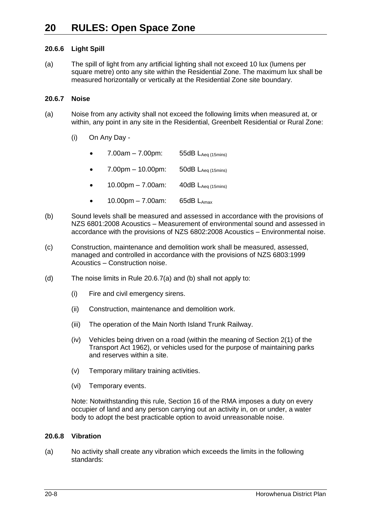# **20.6.6 Light Spill**

(a) The spill of light from any artificial lighting shall not exceed 10 lux (lumens per square metre) onto any site within the Residential Zone. The maximum lux shall be measured horizontally or vertically at the Residential Zone site boundary.

## **20.6.7 Noise**

- <span id="page-7-0"></span>(a) Noise from any activity shall not exceed the following limits when measured at, or within, any point in any site in the Residential, Greenbelt Residential or Rural Zone:
	- (i) On Any Day
		- 7.00am 7.00pm: 55dB  $L_{Aea (15min s)}$
		- 7.00pm 10.00pm: 50dB  $L_{Aeq (15min)}$
		- $10.00 \text{pm} 7.00 \text{am}$ :  $40 \text{dB}$  L<sub>Aeq (15mins)</sub>
		- $10.00 \text{pm} 7.00 \text{am}$ : 65dB L<sub>Amax</sub>
- (b) Sound levels shall be measured and assessed in accordance with the provisions of NZS 6801:2008 Acoustics – Measurement of environmental sound and assessed in accordance with the provisions of NZS 6802:2008 Acoustics – Environmental noise.
- (c) Construction, maintenance and demolition work shall be measured, assessed, managed and controlled in accordance with the provisions of NZS 6803:1999 Acoustics – Construction noise.
- (d) The noise limits in Rule [20.6.7\(a\)](#page-7-0) and (b) shall not apply to:
	- (i) Fire and civil emergency sirens.
	- (ii) Construction, maintenance and demolition work.
	- (iii) The operation of the Main North Island Trunk Railway.
	- (iv) Vehicles being driven on a road (within the meaning of Section 2(1) of the Transport Act 1962), or vehicles used for the purpose of maintaining parks and reserves within a site.
	- (v) Temporary military training activities.
	- (vi) Temporary events.

Note: Notwithstanding this rule, Section 16 of the RMA imposes a duty on every occupier of land and any person carrying out an activity in, on or under, a water body to adopt the best practicable option to avoid unreasonable noise.

## **20.6.8 Vibration**

(a) No activity shall create any vibration which exceeds the limits in the following standards: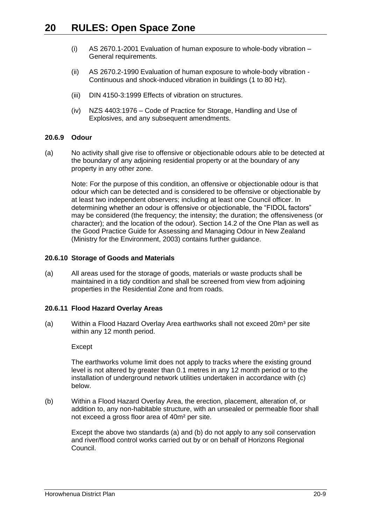- (i) AS 2670.1-2001 Evaluation of human exposure to whole-body vibration General requirements.
- (ii) AS 2670.2-1990 Evaluation of human exposure to whole-body vibration Continuous and shock-induced vibration in buildings (1 to 80 Hz).
- (iii) DIN 4150-3:1999 Effects of vibration on structures.
- (iv) NZS 4403:1976 Code of Practice for Storage, Handling and Use of Explosives, and any subsequent amendments.

# **20.6.9 Odour**

(a) No activity shall give rise to offensive or objectionable odours able to be detected at the boundary of any adjoining residential property or at the boundary of any property in any other zone.

Note: For the purpose of this condition, an offensive or objectionable odour is that odour which can be detected and is considered to be offensive or objectionable by at least two independent observers; including at least one Council officer. In determining whether an odour is offensive or objectionable, the "FIDOL factors" may be considered (the frequency; the intensity; the duration; the offensiveness (or character); and the location of the odour). Section 14.2 of the One Plan as well as the Good Practice Guide for Assessing and Managing Odour in New Zealand (Ministry for the Environment, 2003) contains further guidance.

#### **20.6.10 Storage of Goods and Materials**

(a) All areas used for the storage of goods, materials or waste products shall be maintained in a tidy condition and shall be screened from view from adjoining properties in the Residential Zone and from roads.

## <span id="page-8-0"></span>**20.6.11 Flood Hazard Overlay Areas**

(a) Within a Flood Hazard Overlay Area earthworks shall not exceed 20 $m<sup>3</sup>$  per site within any 12 month period.

#### Except

The earthworks volume limit does not apply to tracks where the existing ground level is not altered by greater than 0.1 metres in any 12 month period or to the installation of underground network utilities undertaken in accordance with (c) below.

(b) Within a Flood Hazard Overlay Area, the erection, placement, alteration of, or addition to, any non-habitable structure, with an unsealed or permeable floor shall not exceed a gross floor area of 40m² per site.

Except the above two standards (a) and (b) do not apply to any soil conservation and river/flood control works carried out by or on behalf of Horizons Regional Council.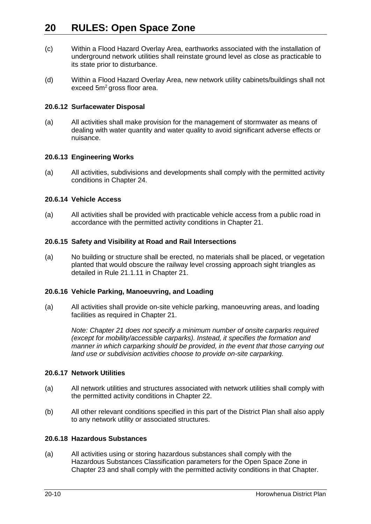- (c) Within a Flood Hazard Overlay Area, earthworks associated with the installation of underground network utilities shall reinstate ground level as close as practicable to its state prior to disturbance.
- (d) Within a Flood Hazard Overlay Area, new network utility cabinets/buildings shall not exceed 5m<sup>2</sup> gross floor area.

#### **20.6.12 Surfacewater Disposal**

(a) All activities shall make provision for the management of stormwater as means of dealing with water quantity and water quality to avoid significant adverse effects or nuisance.

#### **20.6.13 Engineering Works**

(a) All activities, subdivisions and developments shall comply with the permitted activity conditions in Chapter 24.

#### **20.6.14 Vehicle Access**

(a) All activities shall be provided with practicable vehicle access from a public road in accordance with the permitted activity conditions in Chapter 21.

## **20.6.15 Safety and Visibility at Road and Rail Intersections**

(a) No building or structure shall be erected, no materials shall be placed, or vegetation planted that would obscure the railway level crossing approach sight triangles as detailed in Rule 21.1.11 in Chapter 21.

#### **20.6.16 Vehicle Parking, Manoeuvring, and Loading**

(a) All activities shall provide on-site vehicle parking, manoeuvring areas, and loading facilities as required in Chapter 21.

*Note: Chapter 21 does not specify a minimum number of onsite carparks required (except for mobility/accessible carparks). Instead, it specifies the formation and manner in which carparking should be provided, in the event that those carrying out land use or subdivision activities choose to provide on-site carparking.*

#### **20.6.17 Network Utilities**

- (a) All network utilities and structures associated with network utilities shall comply with the permitted activity conditions in Chapter 22.
- (b) All other relevant conditions specified in this part of the District Plan shall also apply to any network utility or associated structures.

#### **20.6.18 Hazardous Substances**

(a) All activities using or storing hazardous substances shall comply with the Hazardous Substances Classification parameters for the Open Space Zone in Chapter 23 and shall comply with the permitted activity conditions in that Chapter.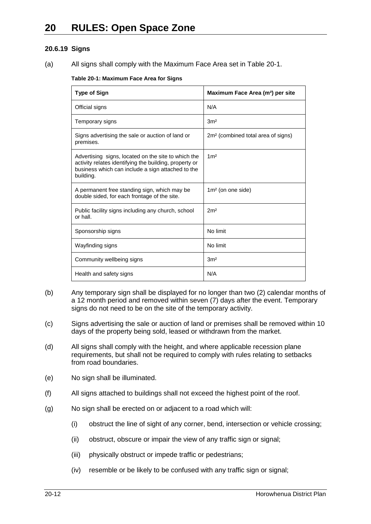# **20.6.19 Signs**

(a) All signs shall comply with the Maximum Face Area set in Table 20-1.

#### **Table 20-1: Maximum Face Area for Signs**

| <b>Type of Sign</b>                                                                                                                                                             | Maximum Face Area (m <sup>2</sup> ) per site   |  |
|---------------------------------------------------------------------------------------------------------------------------------------------------------------------------------|------------------------------------------------|--|
| Official signs                                                                                                                                                                  | N/A                                            |  |
| Temporary signs                                                                                                                                                                 | 3 <sup>m²</sup>                                |  |
| Signs advertising the sale or auction of land or<br>premises.                                                                                                                   | 2m <sup>2</sup> (combined total area of signs) |  |
| Advertising signs, located on the site to which the<br>activity relates identifying the building, property or<br>business which can include a sign attached to the<br>building. | 1 <sup>m²</sup>                                |  |
| A permanent free standing sign, which may be<br>double sided, for each frontage of the site.                                                                                    | $1m2$ (on one side)                            |  |
| Public facility signs including any church, school<br>or hall.                                                                                                                  | 2 <sup>m²</sup>                                |  |
| Sponsorship signs                                                                                                                                                               | No limit                                       |  |
| Wayfinding signs                                                                                                                                                                | No limit                                       |  |
| Community wellbeing signs                                                                                                                                                       | 3 <sup>m²</sup>                                |  |
| Health and safety signs                                                                                                                                                         | N/A                                            |  |

- (b) Any temporary sign shall be displayed for no longer than two (2) calendar months of a 12 month period and removed within seven (7) days after the event. Temporary signs do not need to be on the site of the temporary activity.
- (c) Signs advertising the sale or auction of land or premises shall be removed within 10 days of the property being sold, leased or withdrawn from the market.
- (d) All signs shall comply with the height, and where applicable recession plane requirements, but shall not be required to comply with rules relating to setbacks from road boundaries.
- (e) No sign shall be illuminated.
- (f) All signs attached to buildings shall not exceed the highest point of the roof.
- (g) No sign shall be erected on or adjacent to a road which will:
	- (i) obstruct the line of sight of any corner, bend, intersection or vehicle crossing;
	- (ii) obstruct, obscure or impair the view of any traffic sign or signal;
	- (iii) physically obstruct or impede traffic or pedestrians;
	- (iv) resemble or be likely to be confused with any traffic sign or signal;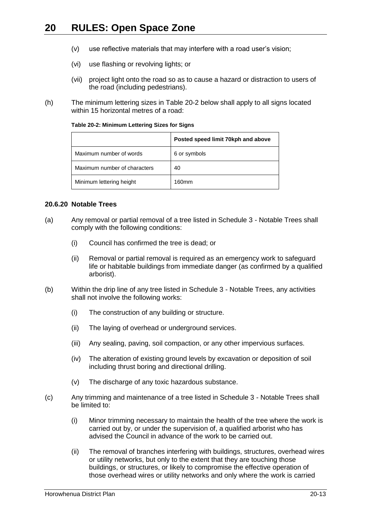- (v) use reflective materials that may interfere with a road user's vision;
- (vi) use flashing or revolving lights; or
- (vii) project light onto the road so as to cause a hazard or distraction to users of the road (including pedestrians).
- (h) The minimum lettering sizes in Table 20-2 below shall apply to all signs located within 15 horizontal metres of a road:

|                              | Posted speed limit 70kph and above |
|------------------------------|------------------------------------|
| Maximum number of words      | 6 or symbols                       |
| Maximum number of characters | 40                                 |
| Minimum lettering height     | 160mm                              |

#### <span id="page-12-0"></span>**20.6.20 Notable Trees**

- (a) Any removal or partial removal of a tree listed in Schedule 3 Notable Trees shall comply with the following conditions:
	- (i) Council has confirmed the tree is dead; or
	- (ii) Removal or partial removal is required as an emergency work to safeguard life or habitable buildings from immediate danger (as confirmed by a qualified arborist).
- (b) Within the drip line of any tree listed in Schedule 3 Notable Trees, any activities shall not involve the following works:
	- (i) The construction of any building or structure.
	- (ii) The laying of overhead or underground services.
	- (iii) Any sealing, paving, soil compaction, or any other impervious surfaces.
	- (iv) The alteration of existing ground levels by excavation or deposition of soil including thrust boring and directional drilling.
	- (v) The discharge of any toxic hazardous substance.
- (c) Any trimming and maintenance of a tree listed in Schedule 3 Notable Trees shall be limited to:
	- (i) Minor trimming necessary to maintain the health of the tree where the work is carried out by, or under the supervision of, a qualified arborist who has advised the Council in advance of the work to be carried out.
	- (ii) The removal of branches interfering with buildings, structures, overhead wires or utility networks, but only to the extent that they are touching those buildings, or structures, or likely to compromise the effective operation of those overhead wires or utility networks and only where the work is carried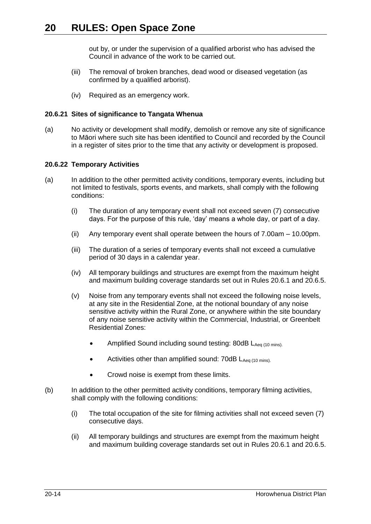out by, or under the supervision of a qualified arborist who has advised the Council in advance of the work to be carried out.

- (iii) The removal of broken branches, dead wood or diseased vegetation (as confirmed by a qualified arborist).
- (iv) Required as an emergency work.

# **20.6.21 Sites of significance to Tangata Whenua**

(a) No activity or development shall modify, demolish or remove any site of significance to Māori where such site has been identified to Council and recorded by the Council in a register of sites prior to the time that any activity or development is proposed.

## **20.6.22 Temporary Activities**

- (a) In addition to the other permitted activity conditions, temporary events, including but not limited to festivals, sports events, and markets, shall comply with the following conditions:
	- (i) The duration of any temporary event shall not exceed seven (7) consecutive days. For the purpose of this rule, 'day' means a whole day, or part of a day.
	- (ii) Any temporary event shall operate between the hours of 7.00am 10.00pm.
	- (iii) The duration of a series of temporary events shall not exceed a cumulative period of 30 days in a calendar year.
	- (iv) All temporary buildings and structures are exempt from the maximum height and maximum building coverage standards set out in Rules [20.6.1](#page-5-4) and [20.6.5.](#page-6-0)
	- (v) Noise from any temporary events shall not exceed the following noise levels, at any site in the Residential Zone, at the notional boundary of any noise sensitive activity within the Rural Zone, or anywhere within the site boundary of any noise sensitive activity within the Commercial, Industrial, or Greenbelt Residential Zones:
		- Amplified Sound including sound testing: 80dB LAeq (10 mins).
		- Activities other than amplified sound:  $70dB L_{Aea (10 mins)}$ .
		- Crowd noise is exempt from these limits.
- <span id="page-13-0"></span>(b) In addition to the other permitted activity conditions, temporary filming activities, shall comply with the following conditions:
	- (i) The total occupation of the site for filming activities shall not exceed seven (7) consecutive days.
	- (ii) All temporary buildings and structures are exempt from the maximum height and maximum building coverage standards set out in Rules [20.6.1](#page-5-4) and [20.6.5.](#page-6-0)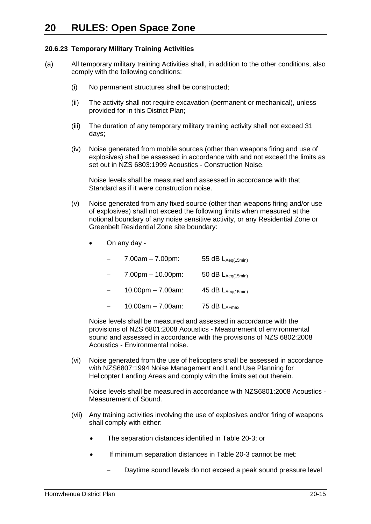# <span id="page-14-0"></span>**20.6.23 Temporary Military Training Activities**

- (a) All temporary military training Activities shall, in addition to the other conditions, also comply with the following conditions:
	- (i) No permanent structures shall be constructed;
	- (ii) The activity shall not require excavation (permanent or mechanical), unless provided for in this District Plan;
	- (iii) The duration of any temporary military training activity shall not exceed 31 days;
	- (iv) Noise generated from mobile sources (other than weapons firing and use of explosives) shall be assessed in accordance with and not exceed the limits as set out in NZS 6803:1999 Acoustics - Construction Noise.

Noise levels shall be measured and assessed in accordance with that Standard as if it were construction noise.

- (v) Noise generated from any fixed source (other than weapons firing and/or use of explosives) shall not exceed the following limits when measured at the notional boundary of any noise sensitive activity, or any Residential Zone or Greenbelt Residential Zone site boundary:
	- On any day -
		- 7.00am 7.00pm: 55 dB  $L_{Aeq(15min)}$
		- 7.00pm 10.00pm: 50 dB LAeq(15min)
		- 10.00pm 7.00am:  $45 dB L_{Aeq(15min)}$
		- 10.00am 7.00am: 75 dB  $L_{AEmax}$

Noise levels shall be measured and assessed in accordance with the provisions of NZS 6801:2008 Acoustics - Measurement of environmental sound and assessed in accordance with the provisions of NZS 6802:2008 Acoustics - Environmental noise.

(vi) Noise generated from the use of helicopters shall be assessed in accordance with NZS6807:1994 Noise Management and Land Use Planning for Helicopter Landing Areas and comply with the limits set out therein.

Noise levels shall be measured in accordance with NZS6801:2008 Acoustics - Measurement of Sound.

- (vii) Any training activities involving the use of explosives and/or firing of weapons shall comply with either:
	- The separation distances identified in Table 20-3; or
	- If minimum separation distances in Table 20-3 cannot be met:
		- Daytime sound levels do not exceed a peak sound pressure level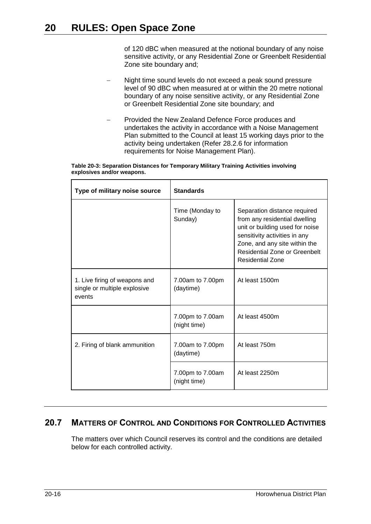of 120 dBC when measured at the notional boundary of any noise sensitive activity, or any Residential Zone or Greenbelt Residential Zone site boundary and;

- Night time sound levels do not exceed a peak sound pressure level of 90 dBC when measured at or within the 20 metre notional boundary of any noise sensitive activity, or any Residential Zone or Greenbelt Residential Zone site boundary; and
- Provided the New Zealand Defence Force produces and undertakes the activity in accordance with a Noise Management Plan submitted to the Council at least 15 working days prior to the activity being undertaken (Refer 28.2.6 for information requirements for Noise Management Plan).

| Table 20-3: Separation Distances for Temporary Military Training Activities involving |  |  |
|---------------------------------------------------------------------------------------|--|--|
| explosives and/or weapons.                                                            |  |  |

| Type of military noise source                                           | <b>Standards</b>                 |                                                                                                                                                                                                                                |  |
|-------------------------------------------------------------------------|----------------------------------|--------------------------------------------------------------------------------------------------------------------------------------------------------------------------------------------------------------------------------|--|
|                                                                         | Time (Monday to<br>Sunday)       | Separation distance required<br>from any residential dwelling<br>unit or building used for noise<br>sensitivity activities in any<br>Zone, and any site within the<br>Residential Zone or Greenbelt<br><b>Residential Zone</b> |  |
| 1. Live firing of weapons and<br>single or multiple explosive<br>events | 7.00am to 7.00pm<br>(daytime)    | At least 1500m                                                                                                                                                                                                                 |  |
|                                                                         | 7.00pm to 7.00am<br>(night time) | At least 4500m                                                                                                                                                                                                                 |  |
| 2. Firing of blank ammunition                                           | 7.00am to 7.00pm<br>(daytime)    | At least 750m                                                                                                                                                                                                                  |  |
|                                                                         | 7.00pm to 7.00am<br>(night time) | At least 2250m                                                                                                                                                                                                                 |  |

# <span id="page-15-0"></span>**20.7 MATTERS OF CONTROL AND CONDITIONS FOR CONTROLLED ACTIVITIES**

The matters over which Council reserves its control and the conditions are detailed below for each controlled activity.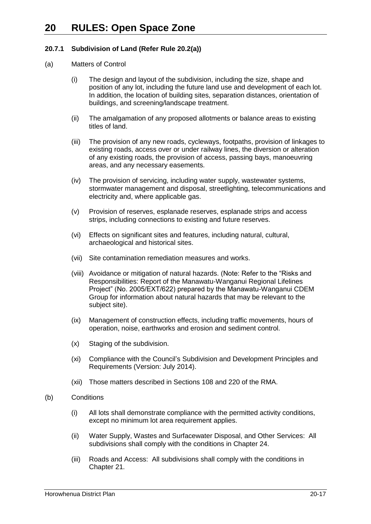# <span id="page-16-0"></span>**20.7.1 Subdivision of Land (Refer Rule [20.2\(a\)\)](#page-2-0)**

#### (a) Matters of Control

- (i) The design and layout of the subdivision, including the size, shape and position of any lot, including the future land use and development of each lot. In addition, the location of building sites, separation distances, orientation of buildings, and screening/landscape treatment.
- (ii) The amalgamation of any proposed allotments or balance areas to existing titles of land.
- (iii) The provision of any new roads, cycleways, footpaths, provision of linkages to existing roads, access over or under railway lines, the diversion or alteration of any existing roads, the provision of access, passing bays, manoeuvring areas, and any necessary easements.
- (iv) The provision of servicing, including water supply, wastewater systems, stormwater management and disposal, streetlighting, telecommunications and electricity and, where applicable gas.
- (v) Provision of reserves, esplanade reserves, esplanade strips and access strips, including connections to existing and future reserves.
- (vi) Effects on significant sites and features, including natural, cultural, archaeological and historical sites.
- (vii) Site contamination remediation measures and works.
- (viii) Avoidance or mitigation of natural hazards. (Note: Refer to the "Risks and Responsibilities: Report of the Manawatu-Wanganui Regional Lifelines Project" (No. 2005/EXT/622) prepared by the Manawatu-Wanganui CDEM Group for information about natural hazards that may be relevant to the subject site).
- (ix) Management of construction effects, including traffic movements, hours of operation, noise, earthworks and erosion and sediment control.
- (x) Staging of the subdivision.
- (xi) Compliance with the Council's Subdivision and Development Principles and Requirements (Version: July 2014).
- (xii) Those matters described in Sections 108 and 220 of the RMA.
- (b) Conditions
	- (i) All lots shall demonstrate compliance with the permitted activity conditions, except no minimum lot area requirement applies.
	- (ii) Water Supply, Wastes and Surfacewater Disposal, and Other Services: All subdivisions shall comply with the conditions in Chapter 24.
	- (iii) Roads and Access: All subdivisions shall comply with the conditions in Chapter 21.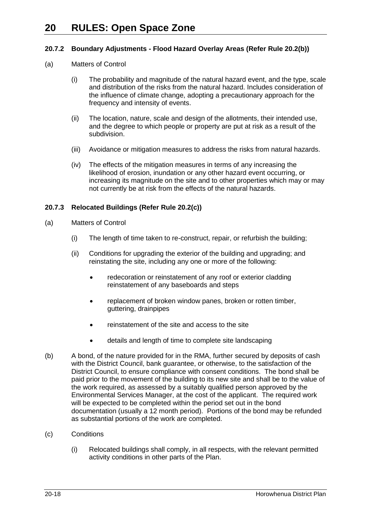# <span id="page-17-0"></span>**20.7.2 Boundary Adjustments - Flood Hazard Overlay Areas (Refer Rule [20.2\(b\)\)](#page-2-1)**

- (a) Matters of Control
	- (i) The probability and magnitude of the natural hazard event, and the type, scale and distribution of the risks from the natural hazard. Includes consideration of the influence of climate change, adopting a precautionary approach for the frequency and intensity of events.
	- (ii) The location, nature, scale and design of the allotments, their intended use, and the degree to which people or property are put at risk as a result of the subdivision.
	- (iii) Avoidance or mitigation measures to address the risks from natural hazards.
	- (iv) The effects of the mitigation measures in terms of any increasing the likelihood of erosion, inundation or any other hazard event occurring, or increasing its magnitude on the site and to other properties which may or may not currently be at risk from the effects of the natural hazards.

# <span id="page-17-1"></span>**20.7.3 Relocated Buildings (Refer Rule [20.2\(c\)\)](#page-2-2)**

- (a) Matters of Control
	- (i) The length of time taken to re-construct, repair, or refurbish the building;
	- (ii) Conditions for upgrading the exterior of the building and upgrading; and reinstating the site, including any one or more of the following:
		- redecoration or reinstatement of any roof or exterior cladding reinstatement of any baseboards and steps
		- replacement of broken window panes, broken or rotten timber, guttering, drainpipes
		- reinstatement of the site and access to the site
		- details and length of time to complete site landscaping
- (b) A bond, of the nature provided for in the RMA, further secured by deposits of cash with the District Council, bank guarantee, or otherwise, to the satisfaction of the District Council, to ensure compliance with consent conditions. The bond shall be paid prior to the movement of the building to its new site and shall be to the value of the work required, as assessed by a suitably qualified person approved by the Environmental Services Manager, at the cost of the applicant. The required work will be expected to be completed within the period set out in the bond documentation (usually a 12 month period). Portions of the bond may be refunded as substantial portions of the work are completed.
- (c) Conditions
	- (i) Relocated buildings shall comply, in all respects, with the relevant permitted activity conditions in other parts of the Plan.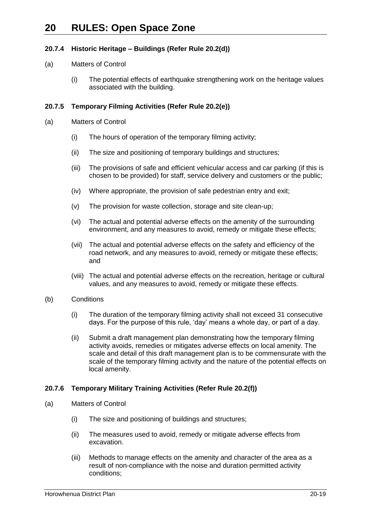# <span id="page-18-0"></span>**20.7.4 Historic Heritage – Buildings (Refer Rule [20.2\(d\)\)](#page-2-3)**

#### (a) Matters of Control

(i) The potential effects of earthquake strengthening work on the heritage values associated with the building.

# <span id="page-18-1"></span>**20.7.5 Temporary Filming Activities (Refer Rule [20.2\(e\)\)](#page-2-4)**

- (a) Matters of Control
	- (i) The hours of operation of the temporary filming activity;
	- (ii) The size and positioning of temporary buildings and structures;
	- (iii) The provisions of safe and efficient vehicular access and car parking (if this is chosen to be provided) for staff, service delivery and customers or the public;
	- (iv) Where appropriate, the provision of safe pedestrian entry and exit;
	- (v) The provision for waste collection, storage and site clean-up;
	- (vi) The actual and potential adverse effects on the amenity of the surrounding environment, and any measures to avoid, remedy or mitigate these effects;
	- (vii) The actual and potential adverse effects on the safety and efficiency of the road network, and any measures to avoid, remedy or mitigate these effects; and
	- (viii) The actual and potential adverse effects on the recreation, heritage or cultural values, and any measures to avoid, remedy or mitigate these effects.
- (b) Conditions
	- (i) The duration of the temporary filming activity shall not exceed 31 consecutive days. For the purpose of this rule, 'day' means a whole day, or part of a day.
	- (ii) Submit a draft management plan demonstrating how the temporary filming activity avoids, remedies or mitigates adverse effects on local amenity. The scale and detail of this draft management plan is to be commensurate with the scale of the temporary filming activity and the nature of the potential effects on local amenity.

## <span id="page-18-2"></span>**20.7.6 Temporary Military Training Activities (Refer Rule [20.2\(f\)\)](#page-2-5)**

- (a) Matters of Control
	- (i) The size and positioning of buildings and structures;
	- (ii) The measures used to avoid, remedy or mitigate adverse effects from excavation.
	- (iii) Methods to manage effects on the amenity and character of the area as a result of non-compliance with the noise and duration permitted activity conditions;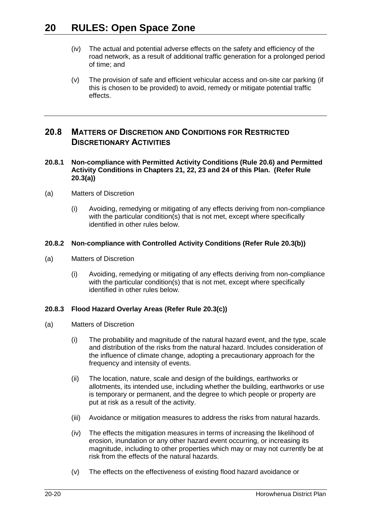- (iv) The actual and potential adverse effects on the safety and efficiency of the road network, as a result of additional traffic generation for a prolonged period of time; and
- (v) The provision of safe and efficient vehicular access and on-site car parking (if this is chosen to be provided) to avoid, remedy or mitigate potential traffic effects.

# <span id="page-19-0"></span>**20.8 MATTERS OF DISCRETION AND CONDITIONS FOR RESTRICTED DISCRETIONARY ACTIVITIES**

#### <span id="page-19-1"></span>**20.8.1 Non-compliance with Permitted Activity Conditions (Rule [20.6\)](#page-5-0) and Permitted Activity Conditions in Chapters 21, 22, 23 and 24 of this Plan. (Refer Rule [20.3\(a\)\)](#page-3-0)**

- (a) Matters of Discretion
	- (i) Avoiding, remedying or mitigating of any effects deriving from non-compliance with the particular condition(s) that is not met, except where specifically identified in other rules below.

# **20.8.2 Non-compliance with Controlled Activity Conditions (Refer Rule [20.3\(b\)\)](#page-3-1)**

- (a) Matters of Discretion
	- (i) Avoiding, remedying or mitigating of any effects deriving from non-compliance with the particular condition(s) that is not met, except where specifically identified in other rules below.

# <span id="page-19-2"></span>**20.8.3 Flood Hazard Overlay Areas (Refer Rule [20.3\(c\)\)](#page-3-2)**

- (a) Matters of Discretion
	- (i) The probability and magnitude of the natural hazard event, and the type, scale and distribution of the risks from the natural hazard. Includes consideration of the influence of climate change, adopting a precautionary approach for the frequency and intensity of events.
	- (ii) The location, nature, scale and design of the buildings, earthworks or allotments, its intended use, including whether the building, earthworks or use is temporary or permanent, and the degree to which people or property are put at risk as a result of the activity.
	- (iii) Avoidance or mitigation measures to address the risks from natural hazards.
	- (iv) The effects the mitigation measures in terms of increasing the likelihood of erosion, inundation or any other hazard event occurring, or increasing its magnitude, including to other properties which may or may not currently be at risk from the effects of the natural hazards.
	- (v) The effects on the effectiveness of existing flood hazard avoidance or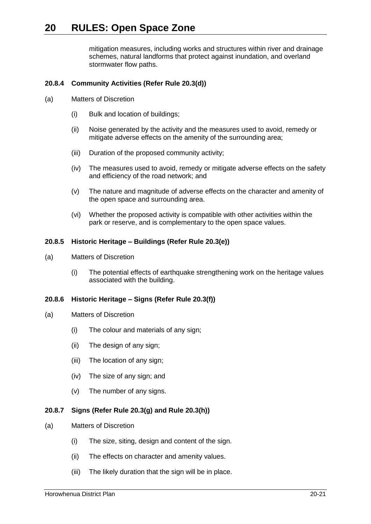mitigation measures, including works and structures within river and drainage schemes, natural landforms that protect against inundation, and overland stormwater flow paths.

# <span id="page-20-0"></span>**20.8.4 Community Activities (Refer Rule [20.3\(d\)\)](#page-3-3)**

- (a) Matters of Discretion
	- (i) Bulk and location of buildings;
	- (ii) Noise generated by the activity and the measures used to avoid, remedy or mitigate adverse effects on the amenity of the surrounding area;
	- (iii) Duration of the proposed community activity;
	- (iv) The measures used to avoid, remedy or mitigate adverse effects on the safety and efficiency of the road network; and
	- (v) The nature and magnitude of adverse effects on the character and amenity of the open space and surrounding area.
	- (vi) Whether the proposed activity is compatible with other activities within the park or reserve, and is complementary to the open space values.

### <span id="page-20-1"></span>**20.8.5 Historic Heritage – Buildings (Refer Rule [20.3\(e\)\)](#page-3-4)**

- (a) Matters of Discretion
	- (i) The potential effects of earthquake strengthening work on the heritage values associated with the building.

## <span id="page-20-2"></span>**20.8.6 Historic Heritage – Signs (Refer Rule [20.3\(f\)\)](#page-3-5)**

- (a) Matters of Discretion
	- (i) The colour and materials of any sign;
	- (ii) The design of any sign;
	- (iii) The location of any sign;
	- (iv) The size of any sign; and
	- (v) The number of any signs.

## <span id="page-20-3"></span>**20.8.7 Signs (Refer Rule [20.3\(g\)](#page-3-6) and Rule [20.3\(h\)\)](#page-3-7)**

- (a) Matters of Discretion
	- (i) The size, siting, design and content of the sign.
	- (ii) The effects on character and amenity values.
	- (iii) The likely duration that the sign will be in place.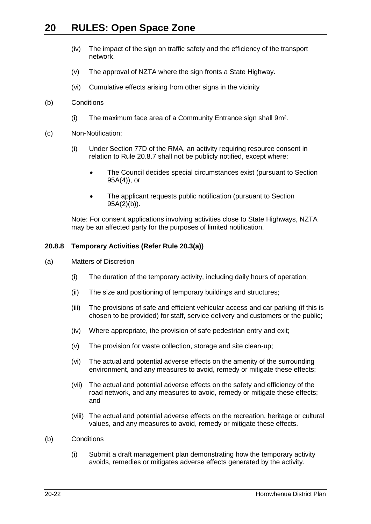- (iv) The impact of the sign on traffic safety and the efficiency of the transport network.
- (v) The approval of NZTA where the sign fronts a State Highway.
- (vi) Cumulative effects arising from other signs in the vicinity
- <span id="page-21-0"></span>(b) Conditions
	- (i) The maximum face area of a Community Entrance sign shall 9m².
- (c) Non-Notification:
	- (i) Under Section 77D of the RMA, an activity requiring resource consent in relation to Rule [20.8.7](#page-20-3) shall not be publicly notified, except where:
		- The Council decides special circumstances exist (pursuant to Section 95A(4)), or
		- The applicant requests public notification (pursuant to Section 95A(2)(b)).

Note: For consent applications involving activities close to State Highways, NZTA may be an affected party for the purposes of limited notification.

#### **20.8.8 Temporary Activities (Refer Rule [20.3\(a\)\)](#page-3-0)**

- (a) Matters of Discretion
	- (i) The duration of the temporary activity, including daily hours of operation;
	- (ii) The size and positioning of temporary buildings and structures;
	- (iii) The provisions of safe and efficient vehicular access and car parking (if this is chosen to be provided) for staff, service delivery and customers or the public;
	- (iv) Where appropriate, the provision of safe pedestrian entry and exit;
	- (v) The provision for waste collection, storage and site clean-up;
	- (vi) The actual and potential adverse effects on the amenity of the surrounding environment, and any measures to avoid, remedy or mitigate these effects;
	- (vii) The actual and potential adverse effects on the safety and efficiency of the road network, and any measures to avoid, remedy or mitigate these effects; and
	- (viii) The actual and potential adverse effects on the recreation, heritage or cultural values, and any measures to avoid, remedy or mitigate these effects.
- (b) Conditions
	- (i) Submit a draft management plan demonstrating how the temporary activity avoids, remedies or mitigates adverse effects generated by the activity.